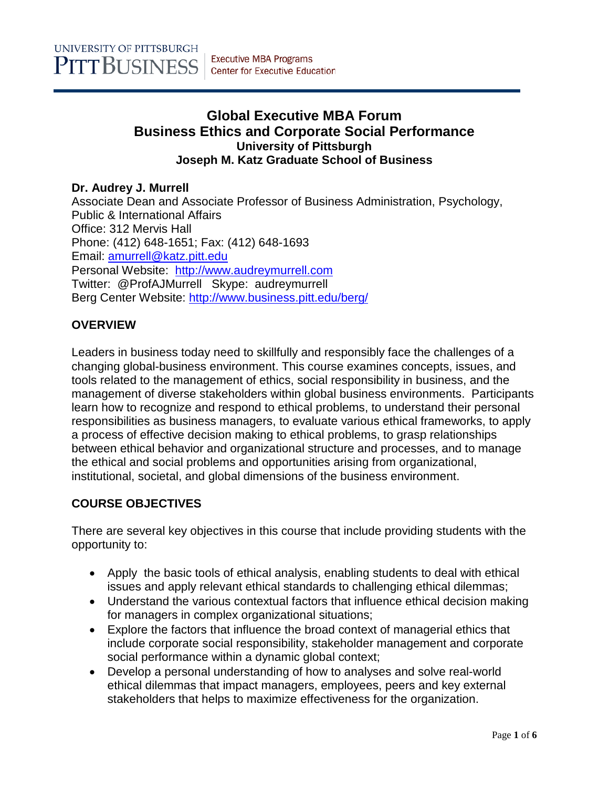# **Global Executive MBA Forum Business Ethics and Corporate Social Performance University of Pittsburgh Joseph M. Katz Graduate School of Business**

### **Dr. Audrey J. Murrell**

Associate Dean and Associate Professor of Business Administration, Psychology, Public & International Affairs Office: 312 Mervis Hall Phone: (412) 648-1651; Fax: (412) 648-1693 Email: [amurrell@katz.pitt.edu](mailto:amurrell@katz.pitt.edu) Personal Website: [http://www.audreymurrell.com](http://www.audreymurrell.com/) Twitter: @ProfAJMurrell Skype: audreymurrell Berg Center Website:<http://www.business.pitt.edu/berg/>

# **OVERVIEW**

Leaders in business today need to skillfully and responsibly face the challenges of a changing global-business environment. This course examines concepts, issues, and tools related to the management of ethics, social responsibility in business, and the management of diverse stakeholders within global business environments. Participants learn how to recognize and respond to ethical problems, to understand their personal responsibilities as business managers, to evaluate various ethical frameworks, to apply a process of effective decision making to ethical problems, to grasp relationships between ethical behavior and organizational structure and processes, and to manage the ethical and social problems and opportunities arising from organizational, institutional, societal, and global dimensions of the business environment.

# **COURSE OBJECTIVES**

There are several key objectives in this course that include providing students with the opportunity to:

- Apply the basic tools of ethical analysis, enabling students to deal with ethical issues and apply relevant ethical standards to challenging ethical dilemmas;
- Understand the various contextual factors that influence ethical decision making for managers in complex organizational situations;
- Explore the factors that influence the broad context of managerial ethics that include corporate social responsibility, stakeholder management and corporate social performance within a dynamic global context;
- Develop a personal understanding of how to analyses and solve real-world ethical dilemmas that impact managers, employees, peers and key external stakeholders that helps to maximize effectiveness for the organization.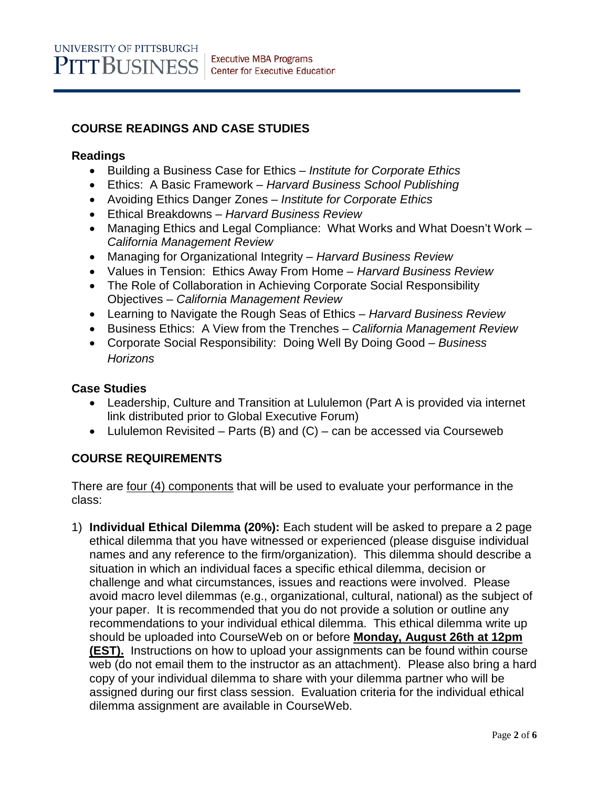# **COURSE READINGS AND CASE STUDIES**

### **Readings**

- Building a Business Case for Ethics *Institute for Corporate Ethics*
- Ethics: A Basic Framework *Harvard Business School Publishing*
- Avoiding Ethics Danger Zones *Institute for Corporate Ethics*
- Ethical Breakdowns *Harvard Business Review*
- Managing Ethics and Legal Compliance: What Works and What Doesn't Work *California Management Review*
- Managing for Organizational Integrity *Harvard Business Review*
- Values in Tension: Ethics Away From Home *Harvard Business Review*
- The Role of Collaboration in Achieving Corporate Social Responsibility Objectives – *California Management Review*
- Learning to Navigate the Rough Seas of Ethics *– Harvard Business Review*
- Business Ethics: A View from the Trenches *California Management Review*
- Corporate Social Responsibility: Doing Well By Doing Good *Business Horizons*

#### **Case Studies**

- Leadership, Culture and Transition at Lululemon (Part A is provided via internet link distributed prior to Global Executive Forum)
- Lululemon Revisited Parts (B) and  $(C)$  can be accessed via Courseweb

# **COURSE REQUIREMENTS**

There are <u>four (4) components</u> that will be used to evaluate your performance in the class:

1) **Individual Ethical Dilemma (20%):** Each student will be asked to prepare a 2 page ethical dilemma that you have witnessed or experienced (please disguise individual names and any reference to the firm/organization). This dilemma should describe a situation in which an individual faces a specific ethical dilemma, decision or challenge and what circumstances, issues and reactions were involved. Please avoid macro level dilemmas (e.g., organizational, cultural, national) as the subject of your paper. It is recommended that you do not provide a solution or outline any recommendations to your individual ethical dilemma. This ethical dilemma write up should be uploaded into CourseWeb on or before **Monday, August 26th at 12pm (EST).** Instructions on how to upload your assignments can be found within course web (do not email them to the instructor as an attachment). Please also bring a hard copy of your individual dilemma to share with your dilemma partner who will be assigned during our first class session. Evaluation criteria for the individual ethical dilemma assignment are available in CourseWeb.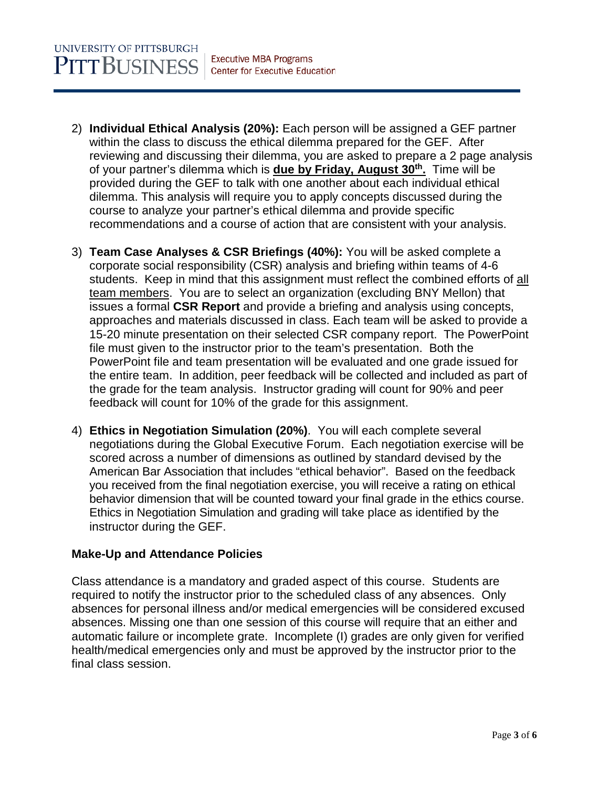- 2) **Individual Ethical Analysis (20%):** Each person will be assigned a GEF partner within the class to discuss the ethical dilemma prepared for the GEF. After reviewing and discussing their dilemma, you are asked to prepare a 2 page analysis of your partner's dilemma which is **due by Friday, August 30th.** Time will be provided during the GEF to talk with one another about each individual ethical dilemma. This analysis will require you to apply concepts discussed during the course to analyze your partner's ethical dilemma and provide specific recommendations and a course of action that are consistent with your analysis.
- 3) **Team Case Analyses & CSR Briefings (40%):** You will be asked complete a corporate social responsibility (CSR) analysis and briefing within teams of 4-6 students. Keep in mind that this assignment must reflect the combined efforts of all team members. You are to select an organization (excluding BNY Mellon) that issues a formal **CSR Report** and provide a briefing and analysis using concepts, approaches and materials discussed in class. Each team will be asked to provide a 15-20 minute presentation on their selected CSR company report. The PowerPoint file must given to the instructor prior to the team's presentation. Both the PowerPoint file and team presentation will be evaluated and one grade issued for the entire team. In addition, peer feedback will be collected and included as part of the grade for the team analysis. Instructor grading will count for 90% and peer feedback will count for 10% of the grade for this assignment.
- 4) **Ethics in Negotiation Simulation (20%)**. You will each complete several negotiations during the Global Executive Forum. Each negotiation exercise will be scored across a number of dimensions as outlined by standard devised by the American Bar Association that includes "ethical behavior". Based on the feedback you received from the final negotiation exercise, you will receive a rating on ethical behavior dimension that will be counted toward your final grade in the ethics course. Ethics in Negotiation Simulation and grading will take place as identified by the instructor during the GEF.

# **Make-Up and Attendance Policies**

Class attendance is a mandatory and graded aspect of this course. Students are required to notify the instructor prior to the scheduled class of any absences. Only absences for personal illness and/or medical emergencies will be considered excused absences. Missing one than one session of this course will require that an either and automatic failure or incomplete grate. Incomplete (I) grades are only given for verified health/medical emergencies only and must be approved by the instructor prior to the final class session.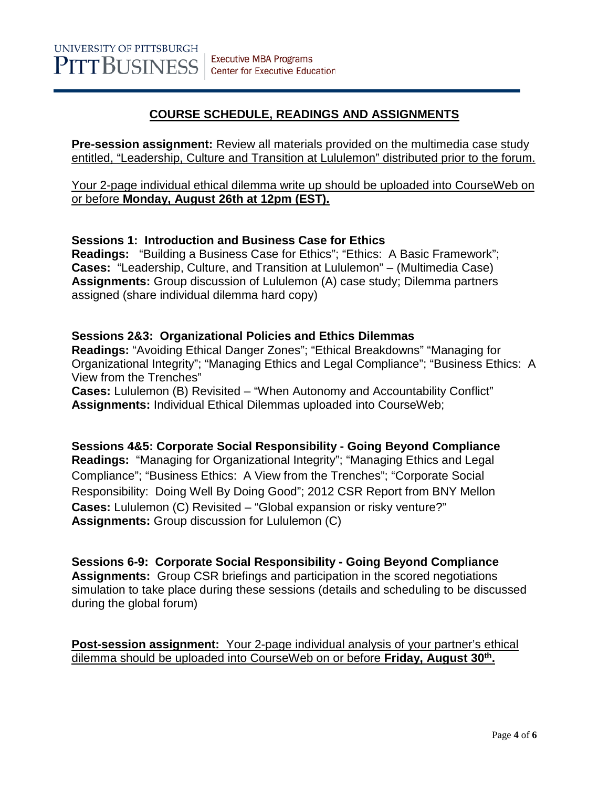# **COURSE SCHEDULE, READINGS AND ASSIGNMENTS**

**Pre-session assignment:** Review all materials provided on the multimedia case study entitled, "Leadership, Culture and Transition at Lululemon" distributed prior to the forum.

Your 2-page individual ethical dilemma write up should be uploaded into CourseWeb on or before **Monday, August 26th at 12pm (EST).**

### **Sessions 1: Introduction and Business Case for Ethics**

**Readings:** "Building a Business Case for Ethics"; "Ethics: A Basic Framework"; **Cases:** "Leadership, Culture, and Transition at Lululemon" – (Multimedia Case) **Assignments:** Group discussion of Lululemon (A) case study; Dilemma partners assigned (share individual dilemma hard copy)

### **Sessions 2&3: Organizational Policies and Ethics Dilemmas**

**Readings:** "Avoiding Ethical Danger Zones"; "Ethical Breakdowns" "Managing for Organizational Integrity"; "Managing Ethics and Legal Compliance"; "Business Ethics: A View from the Trenches"

**Cases:** Lululemon (B) Revisited – "When Autonomy and Accountability Conflict" **Assignments:** Individual Ethical Dilemmas uploaded into CourseWeb;

**Sessions 4&5: Corporate Social Responsibility - Going Beyond Compliance Readings:** "Managing for Organizational Integrity"; "Managing Ethics and Legal Compliance"; "Business Ethics: A View from the Trenches"; "Corporate Social Responsibility: Doing Well By Doing Good"; 2012 CSR Report from BNY Mellon **Cases:** Lululemon (C) Revisited – "Global expansion or risky venture?" **Assignments:** Group discussion for Lululemon (C)

**Sessions 6-9: Corporate Social Responsibility - Going Beyond Compliance Assignments:** Group CSR briefings and participation in the scored negotiations simulation to take place during these sessions (details and scheduling to be discussed during the global forum)

**Post-session assignment:**Your 2-page individual analysis of your partner's ethical dilemma should be uploaded into CourseWeb on or before **Friday, August 30th.**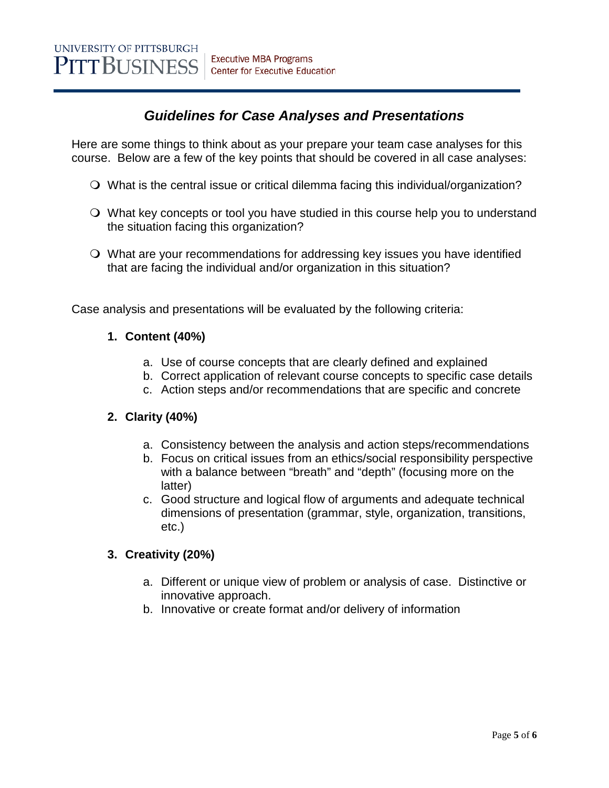# *Guidelines for Case Analyses and Presentations*

Here are some things to think about as your prepare your team case analyses for this course. Below are a few of the key points that should be covered in all case analyses:

- What is the central issue or critical dilemma facing this individual/organization?
- What key concepts or tool you have studied in this course help you to understand the situation facing this organization?
- What are your recommendations for addressing key issues you have identified that are facing the individual and/or organization in this situation?

Case analysis and presentations will be evaluated by the following criteria:

# **1. Content (40%)**

- a. Use of course concepts that are clearly defined and explained
- b. Correct application of relevant course concepts to specific case details
- c. Action steps and/or recommendations that are specific and concrete

# **2. Clarity (40%)**

- a. Consistency between the analysis and action steps/recommendations
- b. Focus on critical issues from an ethics/social responsibility perspective with a balance between "breath" and "depth" (focusing more on the latter)
- c. Good structure and logical flow of arguments and adequate technical dimensions of presentation (grammar, style, organization, transitions, etc.)

# **3. Creativity (20%)**

- a. Different or unique view of problem or analysis of case. Distinctive or innovative approach.
- b. Innovative or create format and/or delivery of information